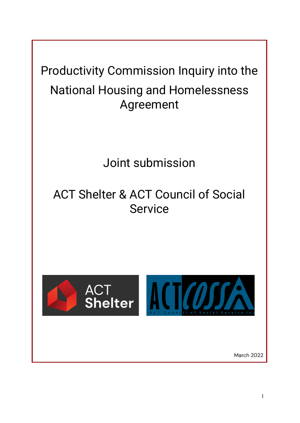Productivity Commission Inquiry into the National Housing and Homelessness Agreement

Joint submission

# ACT Shelter & ACT Council of Social Service

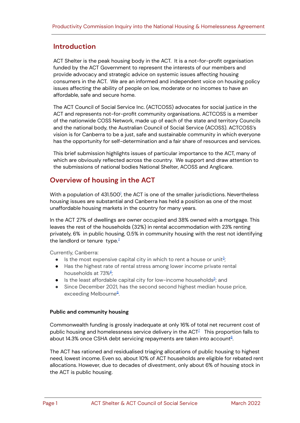## **Introduction**

ACT Shelter is the peak housing body in the ACT. It is a not-for-profit organisation funded by the ACT Government to represent the interests of our members and provide advocacy and strategic advice on systemic issues affecting housing consumers in the ACT. We are an informed and independent voice on housing policy issues affecting the ability of people on low, moderate or no incomes to have an affordable, safe and secure home.

The ACT Council of Social Service Inc. (ACTCOSS) advocates for social justice in the ACT and represents not-for-profit community organisations. ACTCOSS is a member of the nationwide COSS Network, made up of each of the state and territory Councils and the national body, the Australian Council of Social Service (ACOSS). ACTCOSS's vision is for Canberra to be a just, safe and sustainable community in which everyone has the opportunity for self-determination and a fair share of resources and services.

This brief submission highlights issues of particular importance to the ACT, many of which are obviously reflected across the country. We support and draw attention to the submissions of national bodies National Shelter, ACOSS and Anglicare.

# **Overview of housing in the ACT**

With a population of 43[1](#page-7-0).500<sup>1</sup>, the ACT is one of the smaller jurisdictions. Nevertheless housing issues are substantial and Canberra has held a position as one of the most unaffordable housing markets in the country for many years.

In the ACT 27% of dwellings are owner occupied and 38% owned with a mortgage. This leaves the rest of the households (32%) in rental accommodation with 23% renting privately, 6% in public housing, 0.5% in community housing with the rest not identifying the landlord or tenure type.<sup>[2](#page-7-1)</sup>

Currently, Canberra:

- $\bullet$  Is the most expensive capital city in which to rent a house or unit<sup>[3](#page-7-2)</sup>;
- Has the highest rate of rental stress among lower income private rental households at 73% [4](#page-7-3) ;
- $\bullet$  Is the least affordable capital city for low-income households $^{5}$  $^{5}$  $^{5}$ ; and
- Since December 2021, has the second second highest median house price, exceeding Melbourne<sup>[6](#page-7-5)</sup>.

### **Public and community housing**

Commonwealth funding is grossly inadequate at only 16% of total net recurrent cost of public housing and homelessness service delivery in the ACT $^{\mathbb{Z}}$  This proportion falls to about 14.3% once CSHA debt servicing repayments are taken into account<sup>[8](#page-7-7)</sup>.

The ACT has rationed and residualised triaging allocations of public housing to highest need, lowest income. Even so, about 10% of ACT households are eligible for rebated rent allocations. However, due to decades of divestment, only about 6% of housing stock in the ACT is public housing.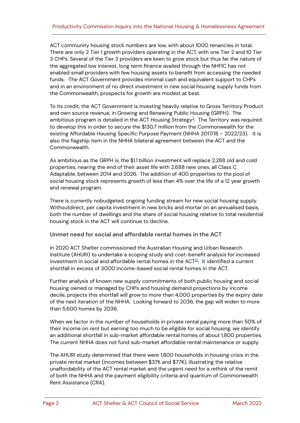ACT community housing stock numbers are low, with about 1000 tenancies in total. There are only 2 Tier 1 growth providers operating in the ACT, with one Tier 2 and 10 Tier 3 CHPs. Several of the Tier 3 providers are keen to grow stock but thus far the nature of the aggregated low interest, long term finance availed through the NHFIC has not enabled small providers with few housing assets to benefit from accessing the needed funds. ·The ACT Government provides minimal cash and equivalent support to CHPs and in an environment of no direct investment in new social housing supply funds from the Commonwealth, prospects for growth are modest at best.

To its credit, the ACT Government is investing heavily relative to Gross Territory Product and own source revenue, in Growing and Renewing Public Housing (GRPH). The ambitious program is detailed in the ACT Housing Strategy<sup>[9](#page-7-8)</sup>. The Territory was required to develop this in order to secure the \$130.7 million from the Commonwealth for the existing Affordable Housing Specific Purpose Payment (NHHA 2017/18 – 2022/23). It is also the flagship item in the NHHA bilateral agreement between the ACT and the Commonwealth.

As ambitious as the GRPH is, the \$1.1 billion investment will replace 2,288 old and cold properties, nearing the end of their asset life with 2,688 new ones, all Class C Adaptable, between 2014 and 2026. The addition of 400 properties to the pool of social housing stock represents growth of less than 4% over the life of a 12 year growth and renewal program.

There is currently nobudgeted, ongoing funding stream for new social housing supply. Withoutdirect, per capita investment in new bricks and mortar on an annualised basis, both the number of dwellings and the share of social housing relative to total residential housing stock in the ACT will continue to decline.

#### **Unmet need for social and affordable rental homes in the ACT**

In 2020 ACT Shelter commissioned the Australian Housing and Urban Research Institute (AHURI) to undertake a scoping study and cost-benefit analysis for increased investment in social and affordable rental homes in the ACT $^{\underline{\text{10}}}$  $^{\underline{\text{10}}}$  $^{\underline{\text{10}}}$ . It identified a current shortfall in excess of 3000 income-based social rental homes in the ACT.

Further analysis of known new supply commitments of both public housing and social housing owned or managed by CHPs and housing demand projections by income decile, projects this shortfall will grow to more than 4,000 properties by the expiry date of the next iteration of the NHHA. Looking forward to 2036, the gap will widen to more than 5,600 homes by 2036.

When we factor in the number of households in private rental paying more than 50% of their income on rent but earning too much to be eligible for social housing, we identify an additional shortfall in sub-market affordable rental homes of about 1,800 properties. The current NHHA does not fund sub-market affordable rental maintenance or supply.

The AHURI study determined that there were 1,800 households in housing crisis in the private rental market (incomes between \$37K and \$77K), illustrating the relative unaffordability of the ACT rental market and the urgent need for a rethink of the remit of both the NHHA and the payment eligibility criteria and quantum of Commonwealth Rent Assistance (CRA).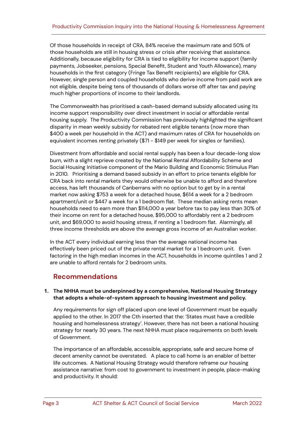Of those households in receipt of CRA, 84% receive the maximum rate and 50% of those households are still in housing stress or crisis after receiving that assistance. Additionally, because eligibility for CRA is tied to eligibility for income support (family payments, Jobseeker, pensions, Special Benefit, Student and Youth Allowance), many households in the first category (Fringe Tax Benefit recipients) are eligible for CRA. However, single person and coupled households who derive income from paid work are not eligible, despite being tens of thousands of dollars worse off after tax and paying much higher proportions of income to their landlords.

The Commonwealth has prioritised a cash-based demand subsidy allocated using its income support responsibility over direct investment in social or affordable rental housing supply. The Productivity Commission has previously highlighted the significant disparity in mean weekly subsidy for rebated rent eligible tenants (now more than \$400 a week per household in the ACT) and maximum rates of CRA for households on equivalent incomes renting privately (\$71 - \$149 per week for singles or families).

Divestment from affordable and social rental supply has been a four decade-long slow burn, with a slight reprieve created by the National Rental Affordability Scheme and Social Housing Initiative component of the Mario Building and Economic Stimulus Plan in 2010. Prioritising a demand based subsidy in an effort to price tenants eligible for CRA back into rental markets they would otherwise be unable to afford and therefore access, has left thousands of Canberrans with no option but to get by in a rental market now asking \$753 a week for a detached house, \$614 a week for a 2 bedroom apartment/unit or \$447 a week for a 1 bedroom flat. These median asking rents mean households need to earn more than \$114,000 a year before tax to pay less than 30% of their income on rent for a detached house, \$95,000 to affordably rent a 2 bedroom unit, and \$69,000 to avoid housing stress, if renting a 1 bedroom flat. Alarmingly, all three income thresholds are above the average gross income of an Australian worker.

In the ACT every individual earning less than the average national income has effectively been priced out of the private rental market for a 1 bedroom unit. Even factoring in the high median incomes in the ACT, households in income quintiles 1 and 2 are unable to afford rentals for 2 bedroom units.

## **Recommendations**

#### **1. The NHHA must be underpinned by a comprehensive, National Housing Strategy that adopts a whole-of-system approach to housing investment and policy.**

Any requirements for sign off placed upon one level of Government must be equally applied to the other. In 2017 the Cth inserted that the: 'States must have a credible housing and homelessness strategy'. However, there has not been a national housing strategy for nearly 30 years. The next NHHA must place requirements on both levels of Government.

The importance of an affordable, accessible, appropriate, safe and secure home of decent amenity cannot be overstated. A place to call home is an enabler of better life outcomes. A National Housing Strategy would therefore reframe our housing assistance narrative: from cost to government to investment in people, place-making and productivity. It should: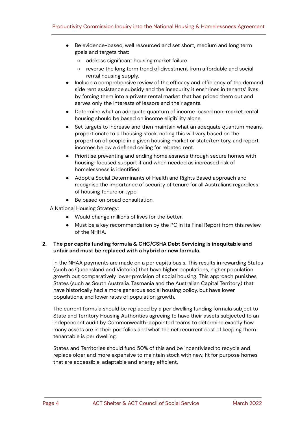- Be evidence-based, well resourced and set short, medium and long term goals and targets that:
	- address significant housing market failure
	- reverse the long term trend of divestment from affordable and social rental housing supply.
- Include a comprehensive review of the efficacy and efficiency of the demand side rent assistance subsidy and the insecurity it enshrines in tenants' lives by forcing them into a private rental market that has priced them out and serves only the interests of lessors and their agents.
- Determine what an adequate quantum of income-based non-market rental housing should be based on income eligibility alone.
- Set targets to increase and then maintain what an adequate quantum means, proportionate to all housing stock, noting this will vary based on the proportion of people in a given housing market or state/territory, and report incomes below a defined ceiling for rebated rent.
- Prioritise preventing and ending homelessness through secure homes with housing-focused support if and when needed as increased risk of homelessness is identified.
- Adopt a Social Determinants of Health and Rights Based approach and recognise the importance of security of tenure for all Australians regardless of housing tenure or type.
- Be based on broad consultation.

A National Housing Strategy:

- Would change millions of lives for the better.
- Must be a key recommendation by the PC in its Final Report from this review of the NHHA.

#### **2. The per capita funding formula & CHC/CSHA Debt Servicing is inequitable and unfair and must be replaced with a hybrid or new formula.**

In the NHAA payments are made on a per capita basis. This results in rewarding States (such as Queensland and Victoria) that have higher populations, higher population growth but comparatively lower provision of social housing. This approach punishes States (such as South Australia, Tasmania and the Australian Capital Territory) that have historically had a more generous social housing policy, but have lower populations, and lower rates of population growth.

The current formula should be replaced by a per dwelling funding formula subject to State and Territory Housing Authorities agreeing to have their assets subjected to an independent audit by Commonwealth-appointed teams to determine exactly how many assets are in their portfolios and what the net recurrent cost of keeping them tenantable is per dwelling.

States and Territories should fund 50% of this and be incentivised to recycle and replace older and more expensive to maintain stock with new, fit for purpose homes that are accessible, adaptable and energy efficient.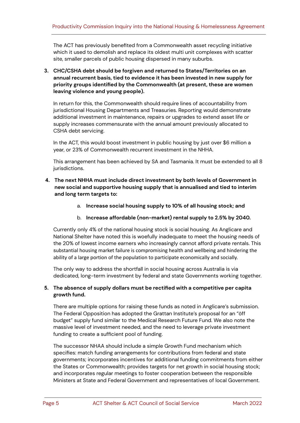The ACT has previously benefited from a Commonwealth asset recycling initiative which it used to demolish and replace its oldest multi unit complexes with scatter site, smaller parcels of public housing dispersed in many suburbs.

**3. CHC/CSHA debt should be forgiven and returned to States/Territories on an annual recurrent basis, tied to evidence it has been invested in new supply for priority groups identified by the Commonwealth (at present, these are women leaving violence and young people).**

In return for this, the Commonwealth should require lines of accountability from jurisdictional Housing Departments and Treasuries. Reporting would demonstrate additional investment in maintenance, repairs or upgrades to extend asset life or supply increases commensurate with the annual amount previously allocated to CSHA debt servicing.

In the ACT, this would boost investment in public housing by just over \$6 million a year, or 23% of Commonwealth recurrent investment in the NHHA.

This arrangement has been achieved by SA and Tasmania. It must be extended to all 8 jurisdictions.

- **4. The next NHHA must include direct investment by both levels of Government in new social and supportive housing supply that is annualised and tied to interim and long term targets to:**
	- a. **Increase social housing supply to 10% of all housing stock; and**
	- b. **Increase affordable (non-market) rental supply to 2.5% by 2040.**

Currently only 4% of the national housing stock is social housing. As Anglicare and National Shelter have noted this is woefully inadequate to meet the housing needs of the 20% of lowest income earners who increasingly cannot afford private rentals. This substantial housing market failure is compromising health and wellbeing and hindering the ability of a large portion of the population to participate economically and socially.

The only way to address the shortfall in social housing across Australia is via dedicated, long-term investment by federal and state Governments working together.

#### **5. The absence of supply dollars must be rectified with a competitive per capita growth fund.**

There are multiple options for raising these funds as noted in Anglicare's submission. The Federal Opposition has adopted the Grattan Institute's proposal for an "öff budget" supply fund similar to the Medical Research Future Fund. We also note the massive level of investment needed, and the need to leverage private investment funding to create a sufficient pool of funding.

The successor NHAA should include a simple Growth Fund mechanism which specifies: match funding arrangements for contributions from federal and state governments; incorporates incentives for additional funding commitments from either the States or Commonwealth; provides targets for net growth in social housing stock; and incorporates regular meetings to foster cooperation between the responsible Ministers at State and Federal Government and representatives of local Government.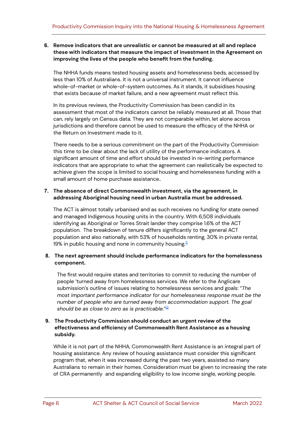#### **6. Remove indicators that are unrealistic or cannot be measured at all and replace these with indicators that measure the impact of investment in the Agreement on improving the lives of the people who benefit from the funding.**

The NHHA funds means tested housing assets and homelessness beds, accessed by less than 10% of Australians. It is not a universal instrument. It cannot influence whole-of-market or whole-of-system outcomes. As it stands, it subsidises housing that exists because of market failure, and a new agreement must reflect this.

In its previous reviews, the Productivity Commission has been candid in its assessment that most of the indicators cannot be reliably measured at all. Those that can, rely largely on Census data. They are not comparable within, let alone across jurisdictions and therefore cannot be used to measure the efficacy of the NHHA or the Return on Investment made to it.

There needs to be a serious commitment on the part of the Productivity Commision this time to be clear about the lack of utility of the performance indicators. A significant amount of time and effort should be invested in re-writing performance indicators that are appropriate to what the agreement can realistically be expected to achieve given the scope is limited to social housing and homelessness funding with a small amount of home purchase assistance..

#### **7. The absence of direct Commonwealth investment, via the agreement, in addressing Aboriginal housing need in urban Australia must be addressed.**

The ACT is almost totally urbanised and as such receives no funding for state owned and managed Indigenous housing units in the country. With 6,508 individuals identifying as Aboriginal or Torres Strait lander they comprise 1.6% of the ACT population. The breakdown of tenure differs significantly to the general ACT population and also nationally, with 53% of households renting, 30% in private rental, 19% in public housing and none in community housing.<sup>[11](#page-7-10)</sup>

#### **8. The next agreement should include performance indicators for the homelessness component.**

The first would require states and territories to commit to reducing the number of people 'turned away from homelessness services. We refer to the Anglicare submission's outline of issues relating to homelessness services and goals: "*The most important performance indicator for our homelessness response must be the number of people who are turned away from accommodation support. The goal should be as close to zero as is practicable*." [12](#page-7-11)

#### **9. The Productivity Commission should conduct an urgent review of the effectiveness and efficiency of Commonwealth Rent Assistance as a housing subsidy.**

While it is not part of the NHHA, Commonwealth Rent Assistance is an integral part of housing assistance. Any review of housing assistance must consider this significant program that, when it was increased during the past two years, assisted so many Australians to remain in their homes. Consideration must be given to increasing the rate of CRA permanently and expanding eligibility to low income single, working people.